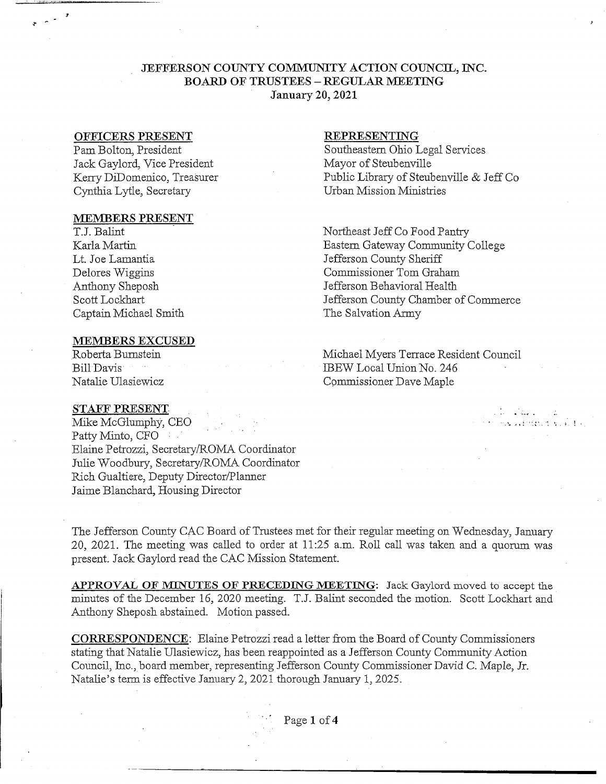# **JEFFERSON COUNTY COMMUNITY ACTION COUNCIL, TNC. BOARD OF TRUSTEES - REGULAR MEETING January 20,2021**

### **OFFICERS PRESENT**

Pam Bolton, President Jack Gaylord, Vice President Kerry DiDomenico, Treasurer Cynthia Lytle, Secretary

#### **MEMBERS PRESENT**

TJ. Balint Karla Martin Lt. Joe Lamantia Delores Wiggins Anthony Sheposh Scott Lockhart Captain Michael Smith

### **MEMBERS EXCUSED**

Roberta Bumstein Bill-Davis Natalie Ulasiewicz

### **REPRESENTING**

Southeastern Ohio Legal Services Mayor of Steubenville Public Library of Steubenville & Jeff Co Urban Mission Ministries

Northeast Jeff Co Food Pantry Eastern Gateway Community College Jefferson County Sheriff Commissioner Tom Graham Jefferson Behavioral Health Jefferson County Chamber of Commerce The Salvation Army

Michael Myers Terrace Resident Council IBEW Local Union No. 246 Commissioner Dave Maple

the state of

Aufrancisco Pe

# STAFF **PRESENT.**

Mike McGlumphy, CEO . Patty Minto, CFO Elaine Petrozzi, Secretary/ROMA Coordinator Julie Woodbury, Secretary/ROMA Coordinator Rich Gualtiere, Deputy Director/Planner Jaime Blanchard, Housing Director

The Jefferson County CAC Board of Trustees met for their regular meeting on Wednesday, January 20, 2021. The meeting was called to order at 11:25 a.m. Roll call was taken and a quorum was present. Jack Gaylord read the CAC Mission Statement.

**APPROVAL OF** MINUTES **OF PRECEDING MEETING:** Jack Gaylord moved to accept the minutes of the December 16, 2020 meeting. T.J. Balint seconded the motion. Scott Lockhart and Anthony Sheposh abstained. Motion passed.

**CORRESPONDENCE:** Elaine Petrozzi read a letter from the Board of County Commissioners stating that Natalie Ulasiewicz, has been reappointed as a Jefferson County Community Action Council, Inc., board member, representing Jefferson County Commissioner David C. Maple, Jr. Natalie's term is effective January 2, 2021 thorough January 1, 2025.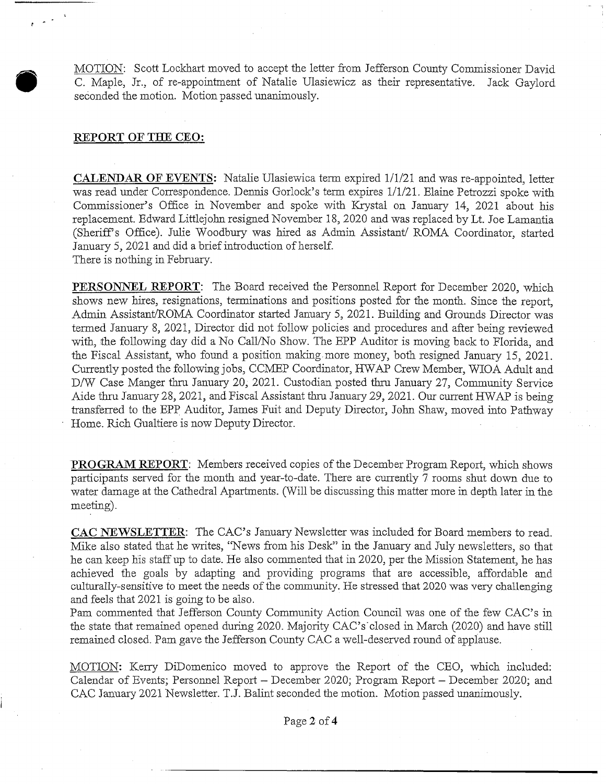MOTION: Scott Lockhart moved to accept the letter from Jefferson County Commissioner David C. Maple, Jr., of re-appointrnent of Natalie Ulasiewicz as their representative. Jack Gaylord seconded the motion. Motion passed unanimously.

### REPORT OF THE CEO:

CALENDAR OF EVENTS: Natalie Ulasiewica term expired 1/1/21 and was re-appointed, letter was read under Correspondence. Dennis Gorlock's term expires 1/1/21. Elaine Petrozzi spoke with Commissioner's Office in November and spoke with Krystal on January 14, 2021 about his replacement. Edward Littlejohn resigned November 18, 2020 and was replaced by Lt. Joe Lamantia (Sheriffs Office). Julie Woodbury was hired as Admin Assistant/ ROMA Coordinator, started January 5, 2021 and did a brief introduction of herself. There is nothing in February.

PERSONNEL REPORT: The Board received the Personnel Report for December 2020, which shows new hires, resignations, terminations and positions posted for the month. Since the report, Admin Assistant/ROMA Coordinator started January 5, 2021. Building and Grounds Director was termed January 8, 2021, Director did not follow policies and procedures and after being reviewed with, the following day did a No Call/No Show. The EPP Auditor is moving back to Florida, and the Fiscal Assistant, who found a position making more money, both resigned January 15, 2021. Currently posted the following jobs, CCMEP Coordinator, HWAP Crew Member, WIOA Adult and D/W Case Manger thru January 20, 2021. Custodian posted thru January 27, Community Service Aide thru January 28, 2021, and Fiscal Assistant thru January 29, 2021. Our current FfWAP is being transferred to the EPP Auditor, James Fuit and Deputy Director, John Shaw, moved into Pathway Home. Rich Gualtiere is now Deputy Director.

PROGRAM REPORT: Members received copies of the December Program Report, which shows participants served for the month and year-to-date. There are currently 7 rooms shut down due to water damage at the Cathedral Apartments. (Will be discussing this matter more in depth later in the meeting).

CAC NEWSLETTER: The CAC's January Newsletter was included for Board members to read. Mike also stated that he writes, 'News from his Desk" in the January and July newsletters, so that he can keep his staff up to date. He also commented that in 2020, per the Mission Statement, he has achieved the goals by adapting and providing programs that are accessible, affordable and culturally-sensitive to meet the needs of the community. He stressed that 2020 was very challenging and feels that 2021 is going to be also.

Pam commented that Jefferson County Community Action Council was one of the few CAC's in the state that remained opened during 2020. Majority CAC's'closed in March (2020) and have still remained closed. Pam gave the Jefferson County CAC a well-deserved round of applause.

MOTION: Kerry DiDomenico moved to approve the Report of the CEO, which included: Calendar of Events; Personnel Report - December 2020; Program Report - December 2020; and CAC January 2021 Newsletter. TJ. Balint seconded the motion. Motion passed unanimously.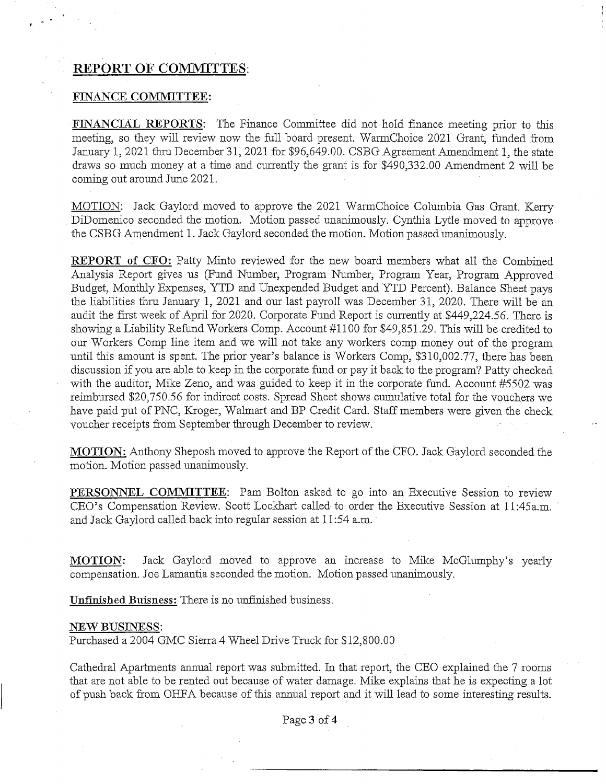# **REPORT OF COMMUTES:**

#### FINANCE COMMITTEE:

FINANCIAL REPORTS: The Finance Committee did not hold finance meeting prior to this meeting, so they will review now the full board present. WarmChoice 2021 Grant, funded from January 1, 2021 thru December 31, 2021 for \$96,649.00. CSBG Agreement Amendment 1, the state draws so much money at a time and currently the grant is for \$490,332.00 Amendment 2 will be coming out around June 2021.

MOTION: Jack Gaylord moved to approve the 2021 WarmChoice Columbia Gas Grant. Kerry DiDomenico seconded the motion. Motion passed unanimously. Cynthia Lytle moved to approve the CSBG Amendment 1. Jack Gaylord seconded the motion. Motion passed unanimously.

**REPORT** of CFO: Patty Minto reviewed for the new board members what all the Combined Analysis Report gives us (Fund Number, Program Number, Program Year, Program Approved Budget, Monthly Expenses, YTD and Unexpended Budget and YTD Percent). Balance Sheet pays the liabilities thru January 1, 2021 and our last payroll was December 31, 2020. There will be an audit the first week of April for 2020. Corporate Fund Report is currently at \$449,224.56. There is showing a Liability Refund Workers Comp. Account #1100 for \$49,851.29. This will be credited to our Workers Comp line item and we will not take any workers comp money out of the program until this amount is spent. The prior year's balance is Workers Comp, \$310,002.77, there has been discussion if you are able to keep in the corporate fund or pay it back to the program? Patty checked with the auditor, Mike Zeno, and was guided to keep it in the corporate fund. Account #5502 was reimbursed \$20,750.56 for indirect costs. Spread Sheet shows cumulative total for the vouchers we have paid put of PNC, Kroger, Walmart and BP Credit Card. Staff members were given the check voucher receipts from September through December to review.

MOTION: Anthony Sheposh moved to approve the Report of the CFO. Jack Gaylord seconded the motion. Motion passed unanimously.

PERSONNEL COMMITTEE: Pam Bolton asked to go into an Executive Session to review CEO's Compensation Review. Scott Lockhart called to order the Executive Session at ll:45a.m. and Jack Gaylord called back into regular session at 11:54 a.m.

MOTION: Jack Gaylord moved to approve an increase to Mike McGlumphy's yearly compensation. Joe Lamantia seconded the motion. Motion passed unanimously.

Unfinished Buisness: There is no unfinished business.

#### NEW BUSINESS:

Purchased a 2004 GMC Sierra 4 Wheel Drive Truck for \$12,800.00

Cathedral Apartments annual report was submitted. In that report, the CEO explained the 7 rooms that are not able to be rented out because of water damage. Mike explains that he is expecting a lot of push back from OHFA because of this annual report and it will lead to some interesting results.